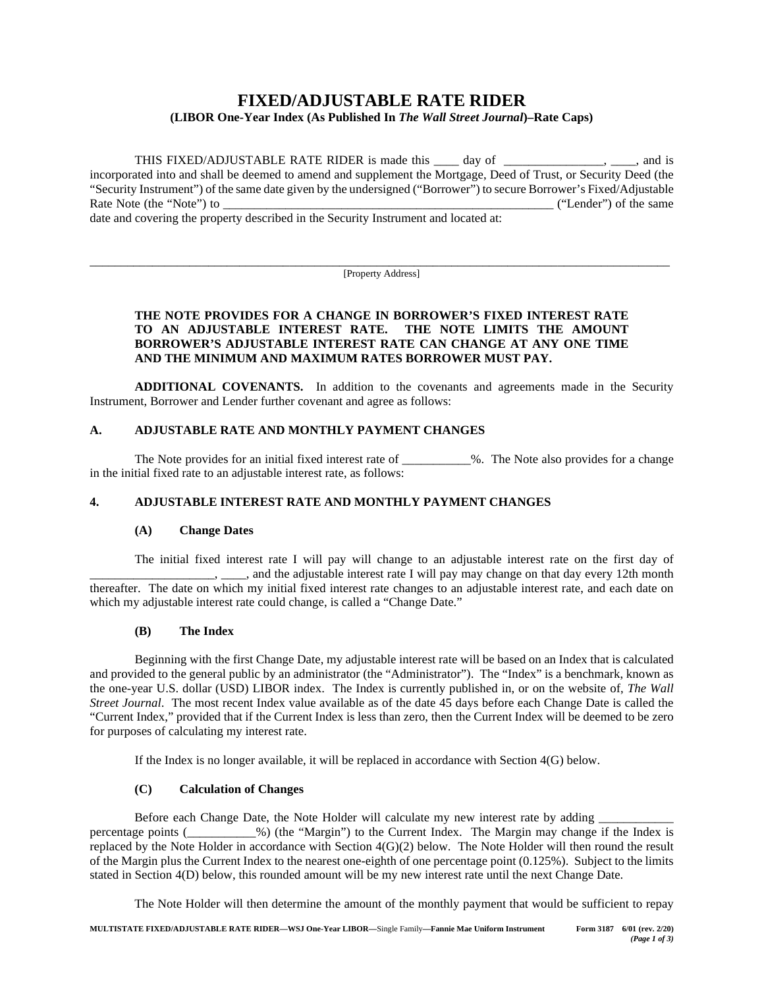# **FIXED/ADJUSTABLE RATE RIDER (LIBOR One-Year Index (As Published In** *The Wall Street Journal***)–Rate Caps)**

THIS FIXED/ADJUSTABLE RATE RIDER is made this \_\_\_\_\_ day of \_\_\_\_\_\_\_\_\_\_\_\_\_\_\_\_, \_\_\_\_, and is incorporated into and shall be deemed to amend and supplement the Mortgage, Deed of Trust, or Security Deed (the "Security Instrument") of the same date given by the undersigned ("Borrower") to secure Borrower's Fixed/Adjustable Rate Note (the "Note") to \_\_\_\_\_\_\_\_\_\_\_\_\_\_\_\_\_\_\_\_\_\_\_\_\_\_\_\_\_\_\_\_\_\_\_\_\_\_\_\_\_\_\_\_\_\_\_\_\_\_\_\_\_ ("Lender") of the same date and covering the property described in the Security Instrument and located at:

\_\_\_\_\_\_\_\_\_\_\_\_\_\_\_\_\_\_\_\_\_\_\_\_\_\_\_\_\_\_\_\_\_\_\_\_\_\_\_\_\_\_\_\_\_\_\_\_\_\_\_\_\_\_\_\_\_\_\_\_\_\_\_\_\_\_\_\_\_\_\_\_\_\_\_\_\_\_\_\_\_\_\_\_\_\_\_\_\_\_\_\_\_ [Property Address]

# **THE NOTE PROVIDES FOR A CHANGE IN BORROWER'S FIXED INTEREST RATE TO AN ADJUSTABLE INTEREST RATE. THE NOTE LIMITS THE AMOUNT BORROWER'S ADJUSTABLE INTEREST RATE CAN CHANGE AT ANY ONE TIME AND THE MINIMUM AND MAXIMUM RATES BORROWER MUST PAY.**

**ADDITIONAL COVENANTS.** In addition to the covenants and agreements made in the Security Instrument, Borrower and Lender further covenant and agree as follows:

# **A. ADJUSTABLE RATE AND MONTHLY PAYMENT CHANGES**

The Note provides for an initial fixed interest rate of \_\_\_\_\_\_\_\_\_\_\_%. The Note also provides for a change in the initial fixed rate to an adjustable interest rate, as follows:

# **4. ADJUSTABLE INTEREST RATE AND MONTHLY PAYMENT CHANGES**

## **(A) Change Dates**

The initial fixed interest rate I will pay will change to an adjustable interest rate on the first day of  $\_,$   $\_$ ,  $\_$ , and the adjustable interest rate I will pay may change on that day every 12th month thereafter. The date on which my initial fixed interest rate changes to an adjustable interest rate, and each date on which my adjustable interest rate could change, is called a "Change Date."

## **(B) The Index**

Beginning with the first Change Date, my adjustable interest rate will be based on an Index that is calculated and provided to the general public by an administrator (the "Administrator"). The "Index" is a benchmark, known as the one-year U.S. dollar (USD) LIBOR index. The Index is currently published in, or on the website of, *The Wall Street Journal*. The most recent Index value available as of the date 45 days before each Change Date is called the "Current Index," provided that if the Current Index is less than zero, then the Current Index will be deemed to be zero for purposes of calculating my interest rate.

If the Index is no longer available, it will be replaced in accordance with Section 4(G) below.

## **(C) Calculation of Changes**

Before each Change Date, the Note Holder will calculate my new interest rate by adding percentage points (\_\_\_\_\_\_\_\_\_\_\_%) (the "Margin") to the Current Index. The Margin may change if the Index is replaced by the Note Holder in accordance with Section 4(G)(2) below. The Note Holder will then round the result of the Margin plus the Current Index to the nearest one-eighth of one percentage point (0.125%). Subject to the limits stated in Section 4(D) below, this rounded amount will be my new interest rate until the next Change Date.

The Note Holder will then determine the amount of the monthly payment that would be sufficient to repay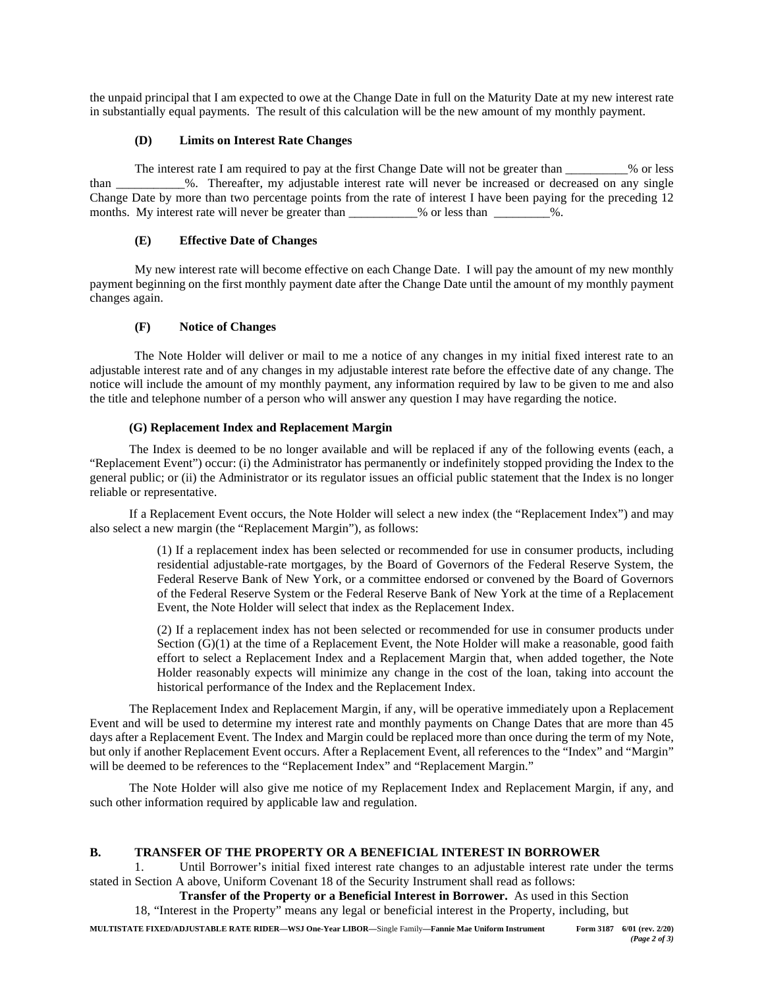the unpaid principal that I am expected to owe at the Change Date in full on the Maturity Date at my new interest rate in substantially equal payments. The result of this calculation will be the new amount of my monthly payment.

## **(D) Limits on Interest Rate Changes**

The interest rate I am required to pay at the first Change Date will not be greater than \_\_\_\_\_\_\_\_\_\_% or less than \_\_\_\_\_\_\_\_\_\_\_%. Thereafter, my adjustable interest rate will never be increased or decreased on any single Change Date by more than two percentage points from the rate of interest I have been paying for the preceding 12 months. My interest rate will never be greater than \_\_\_\_\_\_\_\_\_\_% or less than \_\_\_\_\_\_\_\_\_%.

#### **(E) Effective Date of Changes**

My new interest rate will become effective on each Change Date. I will pay the amount of my new monthly payment beginning on the first monthly payment date after the Change Date until the amount of my monthly payment changes again.

#### **(F) Notice of Changes**

The Note Holder will deliver or mail to me a notice of any changes in my initial fixed interest rate to an adjustable interest rate and of any changes in my adjustable interest rate before the effective date of any change. The notice will include the amount of my monthly payment, any information required by law to be given to me and also the title and telephone number of a person who will answer any question I may have regarding the notice.

#### **(G) Replacement Index and Replacement Margin**

The Index is deemed to be no longer available and will be replaced if any of the following events (each, a "Replacement Event") occur: (i) the Administrator has permanently or indefinitely stopped providing the Index to the general public; or (ii) the Administrator or its regulator issues an official public statement that the Index is no longer reliable or representative.

If a Replacement Event occurs, the Note Holder will select a new index (the "Replacement Index") and may also select a new margin (the "Replacement Margin"), as follows:

> (1) If a replacement index has been selected or recommended for use in consumer products, including residential adjustable-rate mortgages, by the Board of Governors of the Federal Reserve System, the Federal Reserve Bank of New York, or a committee endorsed or convened by the Board of Governors of the Federal Reserve System or the Federal Reserve Bank of New York at the time of a Replacement Event, the Note Holder will select that index as the Replacement Index.

> (2) If a replacement index has not been selected or recommended for use in consumer products under Section (G)(1) at the time of a Replacement Event, the Note Holder will make a reasonable, good faith effort to select a Replacement Index and a Replacement Margin that, when added together, the Note Holder reasonably expects will minimize any change in the cost of the loan, taking into account the historical performance of the Index and the Replacement Index.

The Replacement Index and Replacement Margin, if any, will be operative immediately upon a Replacement Event and will be used to determine my interest rate and monthly payments on Change Dates that are more than 45 days after a Replacement Event. The Index and Margin could be replaced more than once during the term of my Note, but only if another Replacement Event occurs. After a Replacement Event, all references to the "Index" and "Margin" will be deemed to be references to the "Replacement Index" and "Replacement Margin."

The Note Holder will also give me notice of my Replacement Index and Replacement Margin, if any, and such other information required by applicable law and regulation.

## **B. TRANSFER OF THE PROPERTY OR A BENEFICIAL INTEREST IN BORROWER**

Until Borrower's initial fixed interest rate changes to an adjustable interest rate under the terms stated in Section A above, Uniform Covenant 18 of the Security Instrument shall read as follows:

**Transfer of the Property or a Beneficial Interest in Borrower.** As used in this Section 18, "Interest in the Property" means any legal or beneficial interest in the Property, including, but